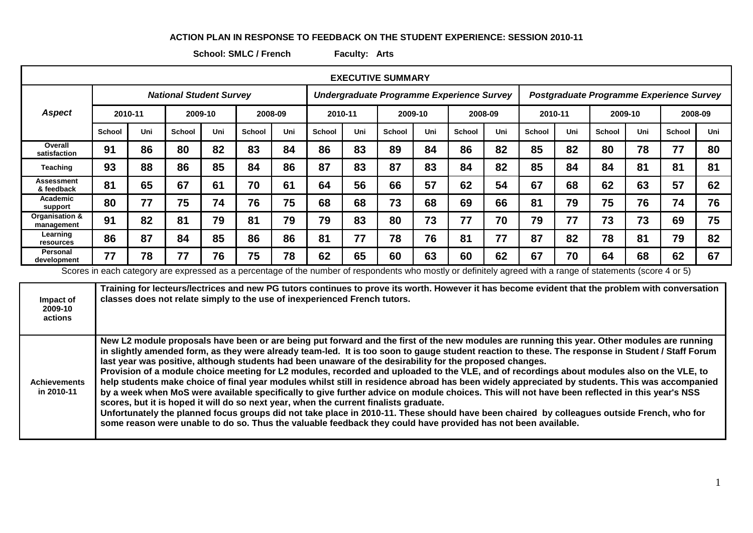## **ACTION PLAN IN RESPONSE TO FEEDBACK ON THE STUDENT EXPERIENCE: SESSION 2010-11**

**School: SMLC / French Faculty: Arts**

| <b>EXECUTIVE SUMMARY</b>     |                                |         |               |         |               |                                           |               |     |               |         |                                          |         |               |     |               |         |               |         |
|------------------------------|--------------------------------|---------|---------------|---------|---------------|-------------------------------------------|---------------|-----|---------------|---------|------------------------------------------|---------|---------------|-----|---------------|---------|---------------|---------|
|                              | <b>National Student Survey</b> |         |               |         |               | Undergraduate Programme Experience Survey |               |     |               |         | Postgraduate Programme Experience Survey |         |               |     |               |         |               |         |
| <b>Aspect</b>                |                                | 2010-11 |               | 2009-10 | 2008-09       |                                           | 2010-11       |     |               | 2009-10 |                                          | 2008-09 | 2010-11       |     |               | 2009-10 |               | 2008-09 |
|                              | <b>School</b>                  | Uni     | <b>School</b> | Uni     | <b>School</b> | Uni                                       | <b>School</b> | Uni | <b>School</b> | Uni     | <b>School</b>                            | Uni     | <b>School</b> | Uni | <b>School</b> | Uni     | <b>School</b> | Uni     |
| Overall<br>satisfaction      | 91                             | 86      | 80            | 82      | 83            | 84                                        | 86            | 83  | 89            | 84      | 86                                       | 82      | 85            | 82  | 80            | 78      | 77            | 80      |
| Teaching                     | 93                             | 88      | 86            | 85      | 84            | 86                                        | 87            | 83  | 87            | 83      | 84                                       | 82      | 85            | 84  | 84            | 81      | 81            | 81      |
| Assessment<br>& feedback     | 81                             | 65      | 67            | 61      | 70            | 61                                        | 64            | 56  | 66            | 57      | 62                                       | 54      | 67            | 68  | 62            | 63      | 57            | 62      |
| Academic<br>support          | 80                             | 77      | 75            | 74      | 76            | 75                                        | 68            | 68  | 73            | 68      | 69                                       | 66      | 81            | 79  | 75            | 76      | 74            | 76      |
| Organisation &<br>management | 91                             | 82      | 81            | 79      | 81            | 79                                        | 79            | 83  | 80            | 73      | 77                                       | 70      | 79            | 77  | 73            | 73      | 69            | 75      |
| Learning<br>resources        | 86                             | 87      | 84            | 85      | 86            | 86                                        | 81            | 77  | 78            | 76      | 81                                       | 77      | 87            | 82  | 78            | 81      | 79            | 82      |
| Personal<br>development      | 77                             | 78      | 77            | 76      | 75            | 78                                        | 62            | 65  | 60            | 63      | 60                                       | 62      | 67            | 70  | 64            | 68      | 62            | 67      |

Scores in each category are expressed as a percentage of the number of respondents who mostly or definitely agreed with a range of statements (score 4 or 5)

| Impact of<br>2009-10<br>actions   | Training for lecteurs/lectrices and new PG tutors continues to prove its worth. However it has become evident that the problem with conversation<br>classes does not relate simply to the use of inexperienced French tutors.                                                                                                                                                                                                                                                                                                                                                                                                                                                                                                                                                                                                                                                                                                                                                                                                                                                                                                                                                                                          |
|-----------------------------------|------------------------------------------------------------------------------------------------------------------------------------------------------------------------------------------------------------------------------------------------------------------------------------------------------------------------------------------------------------------------------------------------------------------------------------------------------------------------------------------------------------------------------------------------------------------------------------------------------------------------------------------------------------------------------------------------------------------------------------------------------------------------------------------------------------------------------------------------------------------------------------------------------------------------------------------------------------------------------------------------------------------------------------------------------------------------------------------------------------------------------------------------------------------------------------------------------------------------|
| <b>Achievements</b><br>in 2010-11 | New L2 module proposals have been or are being put forward and the first of the new modules are running this year. Other modules are running<br>in slightly amended form, as they were already team-led. It is too soon to gauge student reaction to these. The response in Student / Staff Forum<br>last year was positive, although students had been unaware of the desirability for the proposed changes.<br>Provision of a module choice meeting for L2 modules, recorded and uploaded to the VLE, and of recordings about modules also on the VLE, to<br>help students make choice of final year modules whilst still in residence abroad has been widely appreciated by students. This was accompanied<br>by a week when MoS were available specifically to give further advice on module choices. This will not have been reflected in this year's NSS<br>scores, but it is hoped it will do so next year, when the current finalists graduate.<br>Unfortunately the planned focus groups did not take place in 2010-11. These should have been chaired by colleagues outside French, who for<br>some reason were unable to do so. Thus the valuable feedback they could have provided has not been available. |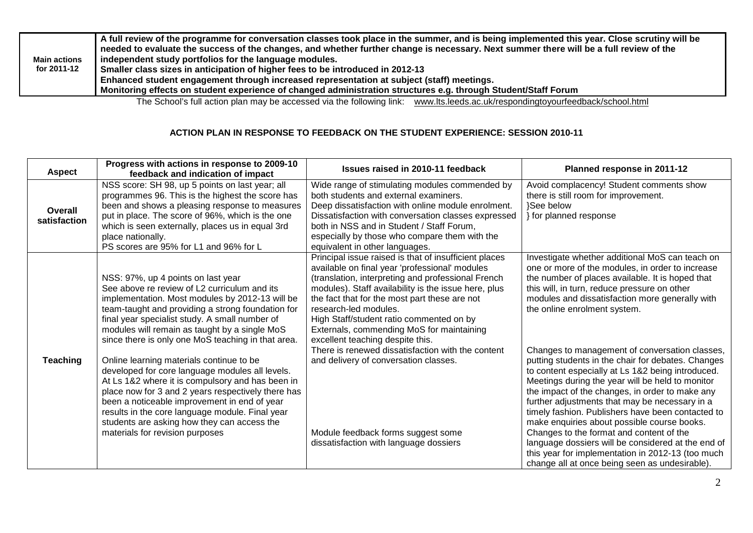| A full review of the programme for conversation classes took place in the summer, and is being implemented this year. Close scrutiny will be<br>needed to evaluate the success of the changes, and whether further change is necessary. Next summer there will be a full review of the<br>independent study portfolios for the language modules.<br><b>Main actions</b><br>for 2011-12<br>Smaller class sizes in anticipation of higher fees to be introduced in 2012-13<br>Enhanced student engagement through increased representation at subject (staff) meetings.<br>Monitoring effects on student experience of changed administration structures e.g. through Student/Staff Forum |  |
|-----------------------------------------------------------------------------------------------------------------------------------------------------------------------------------------------------------------------------------------------------------------------------------------------------------------------------------------------------------------------------------------------------------------------------------------------------------------------------------------------------------------------------------------------------------------------------------------------------------------------------------------------------------------------------------------|--|
|-----------------------------------------------------------------------------------------------------------------------------------------------------------------------------------------------------------------------------------------------------------------------------------------------------------------------------------------------------------------------------------------------------------------------------------------------------------------------------------------------------------------------------------------------------------------------------------------------------------------------------------------------------------------------------------------|--|

The School's full action plan may be accessed via the following link: [www.lts.leeds.ac.uk/respondingtoyourfeedback/school.html](http://www.lts.leeds.ac.uk/respondingtoyourfeedback/school.html)

## **ACTION PLAN IN RESPONSE TO FEEDBACK ON THE STUDENT EXPERIENCE: SESSION 2010-11**

| <b>Aspect</b>           | Progress with actions in response to 2009-10<br>feedback and indication of impact                                                                                                                                                                                                                                                                                                                                                                                                                                                                                                                                                                                                                                                                 | Issues raised in 2010-11 feedback                                                                                                                                                                                                                                                                                                                                                                                                                                                                                                                                                                          | Planned response in 2011-12                                                                                                                                                                                                                                                                                                                                                                                                                                                                                                                                                                                                                                                                                                                                                                                                                                                                                                   |
|-------------------------|---------------------------------------------------------------------------------------------------------------------------------------------------------------------------------------------------------------------------------------------------------------------------------------------------------------------------------------------------------------------------------------------------------------------------------------------------------------------------------------------------------------------------------------------------------------------------------------------------------------------------------------------------------------------------------------------------------------------------------------------------|------------------------------------------------------------------------------------------------------------------------------------------------------------------------------------------------------------------------------------------------------------------------------------------------------------------------------------------------------------------------------------------------------------------------------------------------------------------------------------------------------------------------------------------------------------------------------------------------------------|-------------------------------------------------------------------------------------------------------------------------------------------------------------------------------------------------------------------------------------------------------------------------------------------------------------------------------------------------------------------------------------------------------------------------------------------------------------------------------------------------------------------------------------------------------------------------------------------------------------------------------------------------------------------------------------------------------------------------------------------------------------------------------------------------------------------------------------------------------------------------------------------------------------------------------|
| Overall<br>satisfaction | NSS score: SH 98, up 5 points on last year; all<br>programmes 96. This is the highest the score has<br>been and shows a pleasing response to measures<br>put in place. The score of 96%, which is the one<br>which is seen externally, places us in equal 3rd<br>place nationally.<br>PS scores are 95% for L1 and 96% for L                                                                                                                                                                                                                                                                                                                                                                                                                      | Wide range of stimulating modules commended by<br>both students and external examiners.<br>Deep dissatisfaction with online module enrolment.<br>Dissatisfaction with conversation classes expressed<br>both in NSS and in Student / Staff Forum,<br>especially by those who compare them with the<br>equivalent in other languages.                                                                                                                                                                                                                                                                       | Avoid complacency! Student comments show<br>there is still room for improvement.<br>}See below<br>for planned response                                                                                                                                                                                                                                                                                                                                                                                                                                                                                                                                                                                                                                                                                                                                                                                                        |
| <b>Teaching</b>         | NSS: 97%, up 4 points on last year<br>See above re review of L2 curriculum and its<br>implementation. Most modules by 2012-13 will be<br>team-taught and providing a strong foundation for<br>final year specialist study. A small number of<br>modules will remain as taught by a single MoS<br>since there is only one MoS teaching in that area.<br>Online learning materials continue to be<br>developed for core language modules all levels.<br>At Ls 1&2 where it is compulsory and has been in<br>place now for 3 and 2 years respectively there has<br>been a noticeable improvement in end of year<br>results in the core language module. Final year<br>students are asking how they can access the<br>materials for revision purposes | Principal issue raised is that of insufficient places<br>available on final year 'professional' modules<br>(translation, interpreting and professional French<br>modules). Staff availability is the issue here, plus<br>the fact that for the most part these are not<br>research-led modules.<br>High Staff/student ratio commented on by<br>Externals, commending MoS for maintaining<br>excellent teaching despite this.<br>There is renewed dissatisfaction with the content<br>and delivery of conversation classes.<br>Module feedback forms suggest some<br>dissatisfaction with language dossiers | Investigate whether additional MoS can teach on<br>one or more of the modules, in order to increase<br>the number of places available. It is hoped that<br>this will, in turn, reduce pressure on other<br>modules and dissatisfaction more generally with<br>the online enrolment system.<br>Changes to management of conversation classes,<br>putting students in the chair for debates. Changes<br>to content especially at Ls 1&2 being introduced.<br>Meetings during the year will be held to monitor<br>the impact of the changes, in order to make any<br>further adjustments that may be necessary in a<br>timely fashion. Publishers have been contacted to<br>make enquiries about possible course books.<br>Changes to the format and content of the<br>language dossiers will be considered at the end of<br>this year for implementation in 2012-13 (too much<br>change all at once being seen as undesirable). |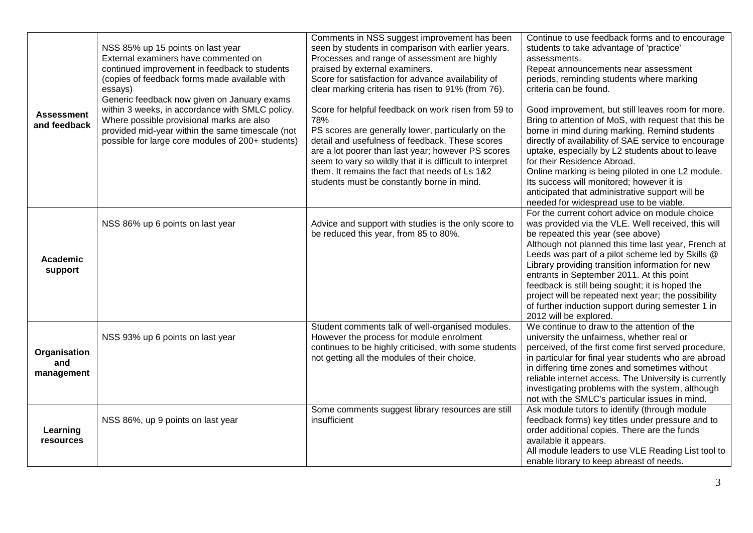| <b>Assessment</b><br>and feedback | NSS 85% up 15 points on last year<br>External examiners have commented on<br>continued improvement in feedback to students<br>(copies of feedback forms made available with<br>essays)<br>Generic feedback now given on January exams<br>within 3 weeks, in accordance with SMLC policy.<br>Where possible provisional marks are also<br>provided mid-year within the same timescale (not<br>possible for large core modules of 200+ students) | Comments in NSS suggest improvement has been<br>seen by students in comparison with earlier years.<br>Processes and range of assessment are highly<br>praised by external examiners.<br>Score for satisfaction for advance availability of<br>clear marking criteria has risen to 91% (from 76).<br>Score for helpful feedback on work risen from 59 to<br>78%<br>PS scores are generally lower, particularly on the<br>detail and usefulness of feedback. These scores<br>are a lot poorer than last year; however PS scores<br>seem to vary so wildly that it is difficult to interpret<br>them. It remains the fact that needs of Ls 1&2<br>students must be constantly borne in mind. | Continue to use feedback forms and to encourage<br>students to take advantage of 'practice'<br>assessments.<br>Repeat announcements near assessment<br>periods, reminding students where marking<br>criteria can be found.<br>Good improvement, but still leaves room for more.<br>Bring to attention of MoS, with request that this be<br>borne in mind during marking. Remind students<br>directly of availability of SAE service to encourage<br>uptake, especially by L2 students about to leave<br>for their Residence Abroad.<br>Online marking is being piloted in one L2 module.<br>Its success will monitored; however it is<br>anticipated that administrative support will be<br>needed for widespread use to be viable. |
|-----------------------------------|------------------------------------------------------------------------------------------------------------------------------------------------------------------------------------------------------------------------------------------------------------------------------------------------------------------------------------------------------------------------------------------------------------------------------------------------|-------------------------------------------------------------------------------------------------------------------------------------------------------------------------------------------------------------------------------------------------------------------------------------------------------------------------------------------------------------------------------------------------------------------------------------------------------------------------------------------------------------------------------------------------------------------------------------------------------------------------------------------------------------------------------------------|-------------------------------------------------------------------------------------------------------------------------------------------------------------------------------------------------------------------------------------------------------------------------------------------------------------------------------------------------------------------------------------------------------------------------------------------------------------------------------------------------------------------------------------------------------------------------------------------------------------------------------------------------------------------------------------------------------------------------------------|
| Academic<br>support               | NSS 86% up 6 points on last year                                                                                                                                                                                                                                                                                                                                                                                                               | Advice and support with studies is the only score to<br>be reduced this year, from 85 to 80%.                                                                                                                                                                                                                                                                                                                                                                                                                                                                                                                                                                                             | For the current cohort advice on module choice<br>was provided via the VLE. Well received, this will<br>be repeated this year (see above)<br>Although not planned this time last year, French at<br>Leeds was part of a pilot scheme led by Skills @<br>Library providing transition information for new<br>entrants in September 2011. At this point<br>feedback is still being sought; it is hoped the<br>project will be repeated next year; the possibility<br>of further induction support during semester 1 in<br>2012 will be explored.                                                                                                                                                                                      |
| Organisation<br>and<br>management | NSS 93% up 6 points on last year                                                                                                                                                                                                                                                                                                                                                                                                               | Student comments talk of well-organised modules.<br>However the process for module enrolment<br>continues to be highly criticised, with some students<br>not getting all the modules of their choice.                                                                                                                                                                                                                                                                                                                                                                                                                                                                                     | We continue to draw to the attention of the<br>university the unfairness, whether real or<br>perceived, of the first come first served procedure,<br>in particular for final year students who are abroad<br>in differing time zones and sometimes without<br>reliable internet access. The University is currently<br>investigating problems with the system, although<br>not with the SMLC's particular issues in mind.                                                                                                                                                                                                                                                                                                           |
| Learning<br>resources             | NSS 86%, up 9 points on last year                                                                                                                                                                                                                                                                                                                                                                                                              | Some comments suggest library resources are still<br>insufficient                                                                                                                                                                                                                                                                                                                                                                                                                                                                                                                                                                                                                         | Ask module tutors to identify (through module<br>feedback forms) key titles under pressure and to<br>order additional copies. There are the funds<br>available it appears.<br>All module leaders to use VLE Reading List tool to<br>enable library to keep abreast of needs.                                                                                                                                                                                                                                                                                                                                                                                                                                                        |